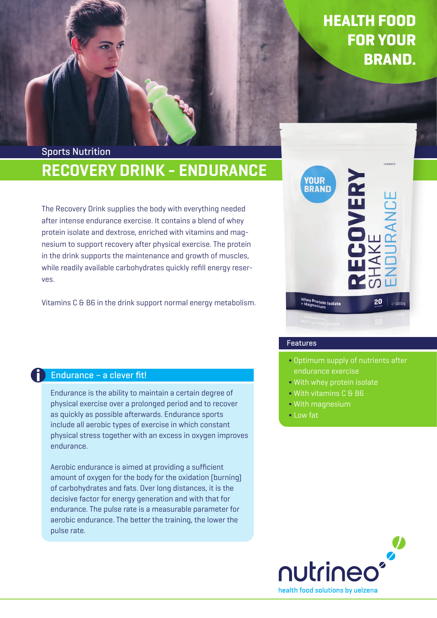# RECOVERY DRINK - ENDURANCE Sports Nutrition

The Recovery Drink supplies the body with everything needed after intense endurance exercise. It contains a blend of whey protein isolate and dextrose, enriched with vitamins and magnesium to support recovery after physical exercise. The protein in the drink supports the maintenance and growth of muscles, while readily available carbohydrates quickly refill energy reserves.

Vitamins C & B6 in the drink support normal energy metabolism.



# Features

- Optimum supply of nutrients after
- With whey protein isolate
- With vitamins C & B6
- With magnesium
- Low fat



# Endurance – a clever fit!

Endurance is the ability to maintain a certain degree of physical exercise over a prolonged period and to recover as quickly as possible afterwards. Endurance sports include all aerobic types of exercise in which constant physical stress together with an excess in oxygen improves endurance.

Aerobic endurance is aimed at providing a sufficient amount of oxygen for the body for the oxidation (burning) of carbohydrates and fats. Over long distances, it is the decisive factor for energy generation and with that for endurance. The pulse rate is a measurable parameter for aerobic endurance. The better the training, the lower the pulse rate.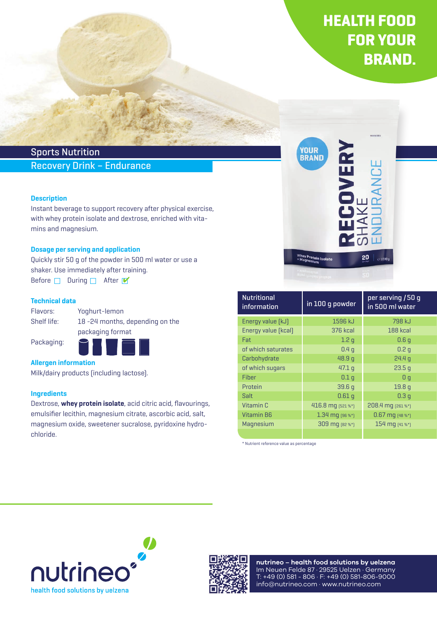# Sports Nutrition

# Recovery Drink – Endurance

### **Description**

Instant beverage to support recovery after physical exercise, with whey protein isolate and dextrose, enriched with vitamins and magnesium.

#### Dosage per serving and application

Quickly stir 50 g of the powder in 500 ml water or use a shaker. Use immediately after training. Before  $\Box$  During  $\Box$  After  $\blacksquare$ 

#### Technical data

Flavors: Yoghurt-lemon

Shelf life: 18 -24 months, depending on the packaging format

Packaging:



### Allergen information

Milk/dairy products (including lactose).

#### **Ingredients**

Dextrose, whey protein isolate, acid citric acid, flavourings, emulsifier lecithin, magnesium citrate, ascorbic acid, salt, magnesium oxide, sweetener sucralose, pyridoxine hydrochloride.



| <b>Nutritional</b><br>information | in 100 g powder      | per serving / 50 g<br>in 500 ml water |
|-----------------------------------|----------------------|---------------------------------------|
| Energy value [kJ]                 | 1596 kJ              | 798 kJ                                |
| Energy value [kcal]               | <b>376 kcal</b>      | 188 kcal                              |
| Fat                               | 1.2 <sub>q</sub>     | 0.6q                                  |
| of which saturates                | 0.4 <sub>q</sub>     | 0.2 <sub>q</sub>                      |
| Carbohydrate                      | 48.9q                | 24.4 <sub>q</sub>                     |
| of which sugars                   | 47.1 <sub>q</sub>    | 23.5q                                 |
| Fiber                             | 0.1 <sub>q</sub>     | 0 <sub>q</sub>                        |
| Protein                           | 39.6q                | 19.8 <sub>q</sub>                     |
| Salt                              | 0.61 <sub>q</sub>    | 0.3q                                  |
| Vitamin C                         | 416.8 mg [521 %*]    | 208.4 mg [261 %*]                     |
| <b>Vitamin B6</b>                 | $1.34$ mg $[96\%^*]$ | $0.67$ mq $[48\%^*]$                  |
| Magnesium                         | 309 mg [82 %*]       | 154 mg (41 %*)                        |
|                                   |                      |                                       |

\* Nutrient reference value as percentage





**nutrineo – health food solutions by uelzena** Im Neuen Felde 87 · 29525 Uelzen · Germany T: +49 (0) 581 - 806 · F: +49 (0) 581-806-9000 info@nutrineo.com · www.nutrineo.com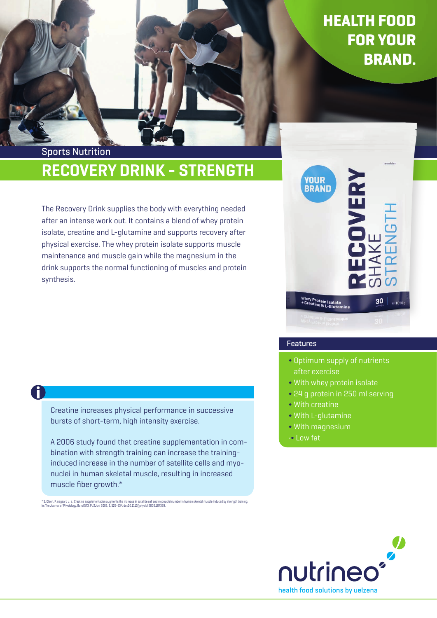# RECOVERY DRINK - STRENGTH Sports Nutrition

The Recovery Drink supplies the body with everything needed after an intense work out. It contains a blend of whey protein isolate, creatine and L-glutamine and supports recovery after physical exercise. The whey protein isolate supports muscle maintenance and muscle gain while the magnesium in the drink supports the normal functioning of muscles and protein synthesis.



## Features

- Optimum supply of nutrients after exercise
- With whey protein isolate
- 24 g protein in 250 ml serving
- With creatine
- With L-glutamine
- With magnesium
- •• Low fat

# A)

Creatine increases physical performance in successive bursts of short-term, high intensity exercise.

A 2006 study found that creatine supplementation in combination with strength training can increase the traininginduced increase in the number of satellite cells and myonuclei in human skeletal muscle, resulting in increased muscle fiber growth.\*

\* S. Olsen, P. Aagaard u. a.: Creatine supplementation augments the increase in satellite cell and myonuclei number in human skeletal muscle induced by strength training<br>In: The Journal of Physiology. Band 573, Pt 2Juni 20